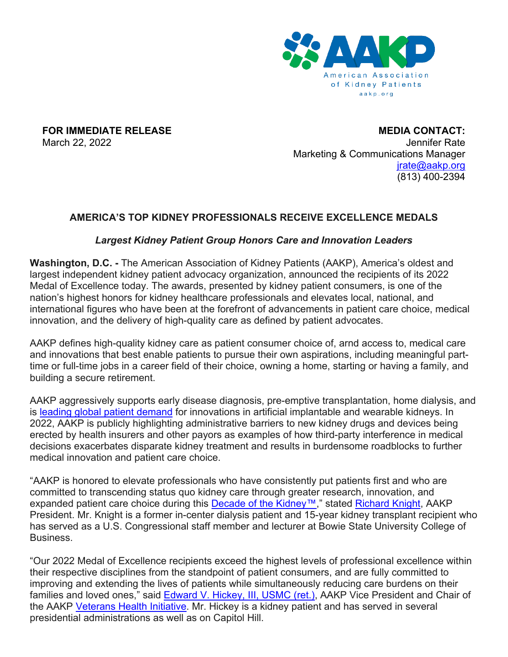

**FOR IMMEDIATE RELEASE**

March 22, 2022

**MEDIA CONTACT:** Jennifer Rate Marketing & Communications Manager [jrate@aakp.org](mailto:jrate@aakp.org) (813) 400-2394

### **AMERICA'S TOP KIDNEY PROFESSIONALS RECEIVE EXCELLENCE MEDALS**

### *Largest Kidney Patient Group Honors Care and Innovation Leaders*

**Washington, D.C. -** The American Association of Kidney Patients (AAKP), America's oldest and largest independent kidney patient advocacy organization, announced the recipients of its 2022 Medal of Excellence today. The awards, presented by kidney patient consumers, is one of the nation's highest honors for kidney healthcare professionals and elevates local, national, and international figures who have been at the forefront of advancements in patient care choice, medical innovation, and the delivery of high-quality care as defined by patient advocates.

AAKP defines high-quality kidney care as patient consumer choice of, arnd access to, medical care and innovations that best enable patients to pursue their own aspirations, including meaningful parttime or full-time jobs in a career field of their choice, owning a home, starting or having a family, and building a secure retirement.

AAKP aggressively supports early disease diagnosis, pre-emptive transplantation, home dialysis, and is [leading global patient demand](https://aakp.org/global-kidney-innovation-summit-accelerates-international-consortium/) for innovations in artificial implantable and wearable kidneys. In 2022, AAKP is publicly highlighting administrative barriers to new kidney drugs and devices being erected by health insurers and other payors as examples of how third-party interference in medical decisions exacerbates disparate kidney treatment and results in burdensome roadblocks to further medical innovation and patient care choice.

"AAKP is honored to elevate professionals who have consistently put patients first and who are committed to transcending status quo kidney care through greater research, innovation, and expanded patient care choice during this [Decade of the Kidney™,](https://aakp.org/center-for-patient-engagement-and-advocacy/decade-of-the-kidney/)" stated [Richard Knight,](http://bit.ly/PVConwayKnight) AAKP President. Mr. Knight is a former in-center dialysis patient and 15-year kidney transplant recipient who has served as a U.S. Congressional staff member and lecturer at Bowie State University College of Business.

"Our 2022 Medal of Excellence recipients exceed the highest levels of professional excellence within their respective disciplines from the standpoint of patient consumers, and are fully committed to improving and extending the lives of patients while simultaneously reducing care burdens on their families and loved ones," said **Edward V. Hickey, III, USMC (ret.)**, AAKP Vice President and Chair of the AAKP [Veterans Health Initiative.](https://aakp.org/center-for-patient-engagement-and-advocacy/veterans-health-initiative/) Mr. Hickey is a kidney patient and has served in several presidential administrations as well as on Capitol Hill.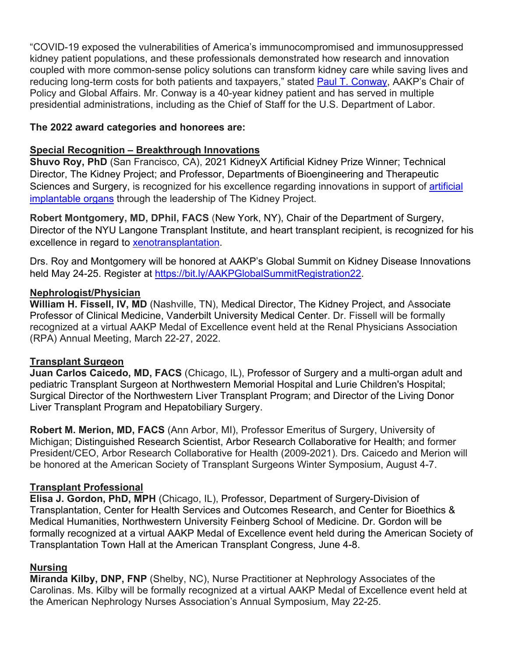"COVID-19 exposed the vulnerabilities of America's immunocompromised and immunosuppressed kidney patient populations, and these professionals demonstrated how research and innovation coupled with more common-sense policy solutions can transform kidney care while saving lives and reducing long-term costs for both patients and taxpayers," stated [Paul T. Conway,](https://bit.ly/ConwayPV2) AAKP's Chair of Policy and Global Affairs. Mr. Conway is a 40-year kidney patient and has served in multiple presidential administrations, including as the Chief of Staff for the U.S. Department of Labor.

### **The 2022 award categories and honorees are:**

# **Special Recognition – Breakthrough Innovations**

**Shuvo Roy, PhD** (San Francisco, CA), 2021 KidneyX Artificial Kidney Prize Winner; Technical Director, The Kidney Project; and Professor, Departments of Bioengineering and Therapeutic Sciences and Surgery, is recognized for his excellence regarding innovations in support of **artificial** [implantable organs](https://youtu.be/iH0XBxexrXE) through the leadership of The Kidney Project.

**Robert Montgomery, MD, DPhil, FACS** (New York, NY), Chair of the Department of Surgery, Director of the NYU Langone Transplant Institute, and heart transplant recipient, is recognized for his excellence in regard to [xenotransplantation.](https://youtu.be/sgahK4Q20-M)

Drs. Roy and Montgomery will be honored at AAKP's Global Summit on Kidney Disease Innovations held May 24-25. Register at [https://bit.ly/AAKPGlobalSummitRegistration22.](https://bit.ly/AAKPGlobalSummitRegistration22)

### **Nephrologist/Physician**

**William H. Fissell, IV, MD** (Nashville, TN), Medical Director, The Kidney Project, and Associate Professor of Clinical Medicine, Vanderbilt University Medical Center. Dr. Fissell will be formally recognized at a virtual AAKP Medal of Excellence event held at the Renal Physicians Association (RPA) Annual Meeting, March 22-27, 2022.

### **Transplant Surgeon**

**Juan Carlos Caicedo, MD, FACS** (Chicago, IL), Professor of Surgery and a multi-organ adult and pediatric Transplant Surgeon at Northwestern Memorial Hospital and Lurie Children's Hospital; Surgical Director of the Northwestern Liver Transplant Program; and Director of the Living Donor Liver Transplant Program and Hepatobiliary Surgery.

**Robert M. Merion, MD, FACS** (Ann Arbor, MI), Professor Emeritus of Surgery, University of Michigan; Distinguished Research Scientist, Arbor Research Collaborative for Health; and former President/CEO, Arbor Research Collaborative for Health (2009-2021). Drs. Caicedo and Merion will be honored at the American Society of Transplant Surgeons Winter Symposium, August 4-7.

### **Transplant Professional**

**Elisa J. Gordon, PhD, MPH** (Chicago, IL), Professor, Department of Surgery-Division of Transplantation, Center for Health Services and Outcomes Research, and Center for Bioethics & Medical Humanities, Northwestern University Feinberg School of Medicine. Dr. Gordon will be formally recognized at a virtual AAKP Medal of Excellence event held during the American Society of Transplantation Town Hall at the American Transplant Congress, June 4-8.

### **Nursing**

**Miranda Kilby, DNP, FNP** (Shelby, NC), Nurse Practitioner at Nephrology Associates of the Carolinas. Ms. Kilby will be formally recognized at a virtual AAKP Medal of Excellence event held at the American Nephrology Nurses Association's Annual Symposium, May 22-25.